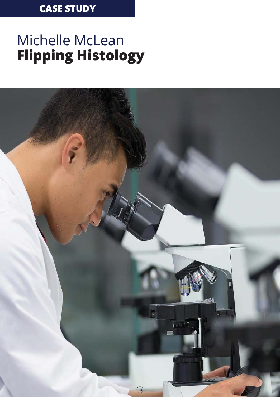### **CASE STUDY**

## Michelle McLean **Flipping Histology**

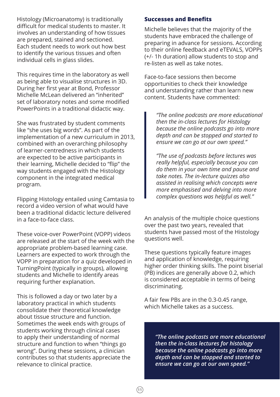Histology (Microanatomy) is traditionally difficult for medical students to master. It involves an understanding of how tissues are prepared, stained and sectioned. Each student needs to work out how best to identify the various tissues and often individual cells in glass slides.

This requires time in the laboratory as well as being able to visualise structures in 3D. During her first year at Bond, Professor Michelle McLean delivered an "inherited" set of laboratory notes and some modified PowerPoints in a traditional didactic way.

She was frustrated by student comments like "she uses big words". As part of the implementation of a new curriculum in 2013, combined with an overarching philosophy of learner-centredness in which students are expected to be active participants in their learning, Michelle decided to "flip" the way students engaged with the Histology component in the integrated medical program.

Flipping Histology entailed using Camtasia to record a video version of what would have been a traditional didactic lecture delivered in a face-to-face class.

These voice-over PowerPoint (VOPP) videos are released at the start of the week with the appropriate problem-based learning case. Learners are expected to work through the VOPP in preparation for a quiz developed in TurningPoint (typically in groups), allowing students and Michelle to identify areas requiring further explanation.

This is followed a day or two later by a laboratory practical in which students consolidate their theoretical knowledge about tissue structure and function. Sometimes the week ends with groups of students working through clinical cases to apply their understanding of normal structure and function to when "things go wrong". During these sessions, a clinician contributes so that students appreciate the relevance to clinical practice.

#### **Successes and Benefits**

Michelle believes that the majority of the students have embraced the challenge of preparing in advance for sessions. According to their online feedback and eTEVALS, VOPPs (+/- 1h duration) allow students to stop and re-listen as well as take notes.

Face-to-face sessions then become opportunities to check their knowledge and understanding rather than learn new content. Students have commented:

*"The online podcasts are more educational then the in-class lectures for Histology because the online podcasts go into more depth and can be stopped and started to ensure we can go at our own speed."*

*"The use of podcasts before lectures was really helpful, especially because you can do them in your own time and pause and take notes. The in-lecture quizzes also assisted in realising which concepts were more emphasised and delving into more complex questions was helpful as well."*

An analysis of the multiple choice questions over the past two years, revealed that students have passed most of the Histology questions well.

These questions typically feature images and application of knowledge, requiring higher order thinking skills. The point biserial (PB) indices are generally above 0.2, which is considered acceptable in terms of being discriminating.

A fair few PBs are in the 0.3-0.45 range, which Michelle takes as a success.

> *"The online podcasts are more educational then the in-class lectures for histology because the online podcasts go into more depth and can be stopped and started to ensure we can go at our own speed."*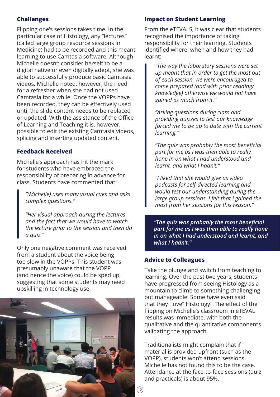#### **Challenges**

Flipping one's sessions takes time. In the particular case of Histology, any "lectures" (called large group resource sessions in Medicine) had to be recorded and this meant learning to use Camtasia software. Although Michelle doesn't consider herself to be a digital native or even digitally adept, she was able to successfully produce basic Camtasia videos. Michelle noted, however, the need for a refresher when she had not used Camtasia for a while. Once the VOPPs have been recorded, they can be effectively used until the slide content needs to be replaced or updated. With the assistance of the Office of Learning and Teaching it is, however, possible to edit the existing Camtasia videos, splicing and inserting updated content.

#### **Feedback Received**

Michelle's approach has hit the mark for students who have embraced the responsibility of preparing in advance for class. Students have commented that:

*"(Michelle) uses many visual cues and asks complex questions."*

*"Her visual approach during the lectures and the fact that we would have to watch the lecture prior to the session and then do a quiz."*

Only one negative comment was received from a student about the voice being too slow in the VOPPs. This student was presumably unaware that the VOPP (and hence the voice) could be sped up, suggesting that some students may need upskilling in technology use.



#### **Impact on Student Learning**

From the eTEVALS, it was clear that students recognised the importance of taking responsibility for their learning. Students identified where, when and how they had learnt:

*"The way the laboratory sessions were set up meant that in order to get the most out of each session, we were encouraged to come prepared (and with prior reading/ knowledge) otherwise we would not have gained as much from it."*

*"Asking questions during class and providing quizzes to test our knowledge forced me to be up to date with the current learning."*

*"The quiz was probably the most beneficial part for me as I was then able to really hone in on what I had understood and learnt, and what I hadn't."*

*"I liked that she would give us video podcasts for self-directed learning and would test our understanding during the large group sessions. I felt that I gained the most from her sessions for this reason."*

*"The quiz was probably the most benefi cial part for me as I was then able to really hone in on what I had understood and learnt, and what I hadn't."*

#### **Advice to Colleagues**

Take the plunge and switch from teaching to learning. Over the past two years, students have progressed from seeing Histology as a mountain to climb to something challenging but manageable. Some have even said that they "love" Histology! The effect of the flipping on Michelle's classroom in eTEVAL results was immediate, with both the qualitative and the quantitative components validating the approach.

Traditionalists might complain that if material is provided upfront (such as the VOPP), students won't attend sessions. Michelle has not found this to be the case. Attendance at the face-to-face sessions (quiz and practicals) is about 95%.